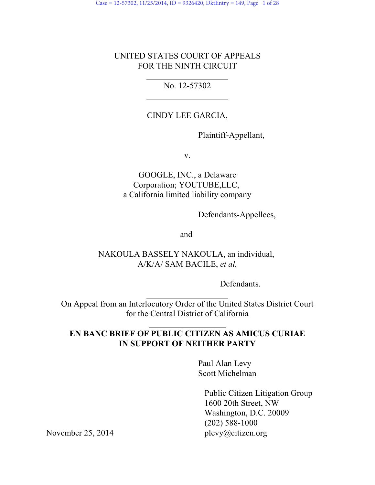## UNITED STATES COURT OF APPEALS FOR THE NINTH CIRCUIT

## No. 12-57302

 $\overline{a}$ 

 $\overline{a}$ 

 $\overline{a}$ 

## CINDY LEE GARCIA,

Plaintiff-Appellant,

v.

## GOOGLE, INC., a Delaware Corporation; YOUTUBE,LLC, a California limited liability company

Defendants-Appellees,

and

NAKOULA BASSELY NAKOULA, an individual, A/K/A/ SAM BACILE, *et al.*

Defendants.

On Appeal from an Interlocutory Order of the United States District Court for the Central District of California

## **EN BANC BRIEF OF PUBLIC CITIZEN AS AMICUS CURIAE IN SUPPORT OF NEITHER PARTY**

Paul Alan Levy Scott Michelman

> Public Citizen Litigation Group 1600 20th Street, NW Washington, D.C. 20009 (202) 588-1000

November 25, 2014 plevy@citizen.org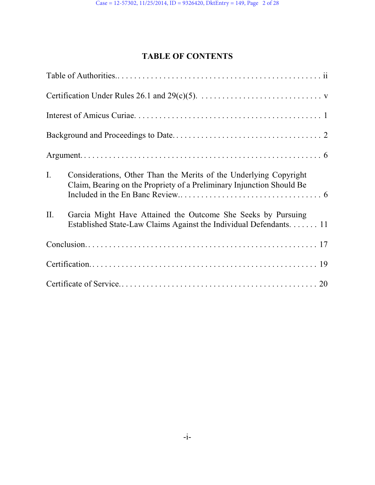# **TABLE OF CONTENTS**

| $I_{\cdot}$ | Considerations, Other Than the Merits of the Underlying Copyright<br>Claim, Bearing on the Propriety of a Preliminary Injunction Should Be |
|-------------|--------------------------------------------------------------------------------------------------------------------------------------------|
| II.         | Garcia Might Have Attained the Outcome She Seeks by Pursuing<br>Established State-Law Claims Against the Individual Defendants. 11         |
|             |                                                                                                                                            |
|             |                                                                                                                                            |
|             |                                                                                                                                            |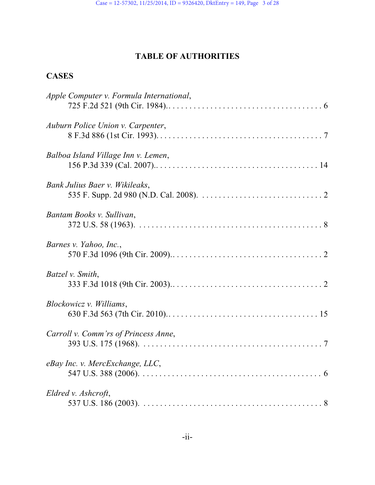# **TABLE OF AUTHORITIES**

# **CASES**

| Apple Computer v. Formula International, |
|------------------------------------------|
| Auburn Police Union v. Carpenter,        |
| Balboa Island Village Inn v. Lemen,      |
| Bank Julius Baer v. Wikileaks,           |
| Bantam Books v. Sullivan,                |
| Barnes v. Yahoo, Inc.,                   |
| Batzel v. Smith,                         |
| Blockowicz v. Williams,                  |
| Carroll v. Comm'rs of Princess Anne,     |
| eBay Inc. v. MercExchange, LLC,          |
| Eldred v. Ashcroft,                      |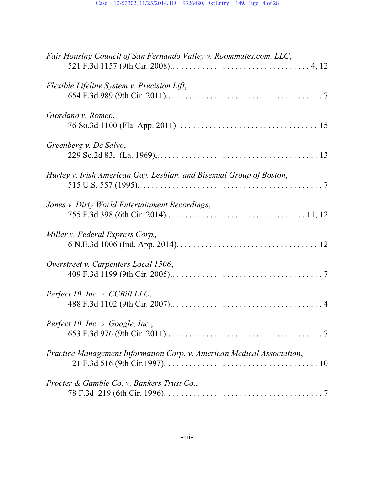| Fair Housing Council of San Fernando Valley v. Roommates.com, LLC,     |
|------------------------------------------------------------------------|
| Flexible Lifeline System v. Precision Lift,                            |
| Giordano v. Romeo,                                                     |
| Greenberg v. De Salvo,                                                 |
| Hurley v. Irish American Gay, Lesbian, and Bisexual Group of Boston,   |
| Jones v. Dirty World Entertainment Recordings,                         |
| Miller v. Federal Express Corp.,                                       |
| Overstreet v. Carpenters Local 1506,                                   |
| Perfect 10, Inc. v. CCBill LLC,                                        |
| Perfect 10, Inc. v. Google, Inc.,                                      |
| Practice Management Information Corp. v. American Medical Association, |
| Procter & Gamble Co. v. Bankers Trust Co.,                             |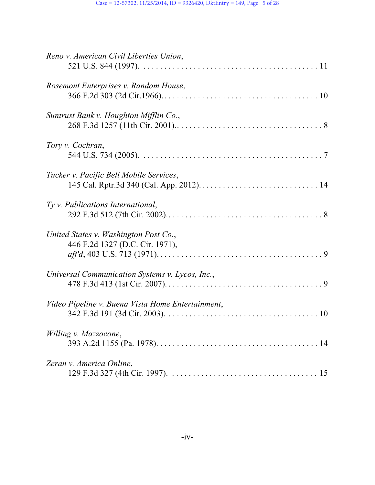| Reno v. American Civil Liberties Union,                                  |
|--------------------------------------------------------------------------|
| Rosemont Enterprises v. Random House,                                    |
| Suntrust Bank v. Houghton Mifflin Co.,                                   |
| Tory v. Cochran,                                                         |
| Tucker v. Pacific Bell Mobile Services,                                  |
| Ty v. Publications International,                                        |
| United States v. Washington Post Co.,<br>446 F.2d 1327 (D.C. Cir. 1971), |
| Universal Communication Systems v. Lycos, Inc.,                          |
| Video Pipeline v. Buena Vista Home Entertainment,                        |
| Willing v. Mazzocone,                                                    |
| Zeran v. America Online,                                                 |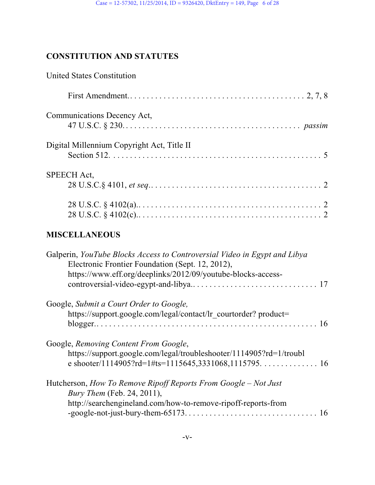# **CONSTITUTION AND STATUTES**

| <b>United States Constitution</b>                                                                                                                                                             |
|-----------------------------------------------------------------------------------------------------------------------------------------------------------------------------------------------|
|                                                                                                                                                                                               |
| Communications Decency Act,                                                                                                                                                                   |
| Digital Millennium Copyright Act, Title II                                                                                                                                                    |
| <b>SPEECH Act,</b>                                                                                                                                                                            |
|                                                                                                                                                                                               |
| <b>MISCELLANEOUS</b>                                                                                                                                                                          |
| Galperin, YouTube Blocks Access to Controversial Video in Egypt and Libya<br>Electronic Frontier Foundation (Sept. 12, 2012),<br>https://www.eff.org/deeplinks/2012/09/youtube-blocks-access- |
| Google, Submit a Court Order to Google,<br>https://support.google.com/legal/contact/lr_courtorder? product=                                                                                   |
| Google, Removing Content From Google,<br>https://support.google.com/legal/troubleshooter/1114905?rd=1/troubl                                                                                  |
| Hutcherson, How To Remove Ripoff Reports From Google – Not Just<br>Bury Them (Feb. 24, 2011),<br>http://searchengineland.com/how-to-remove-ripoff-reports-from                                |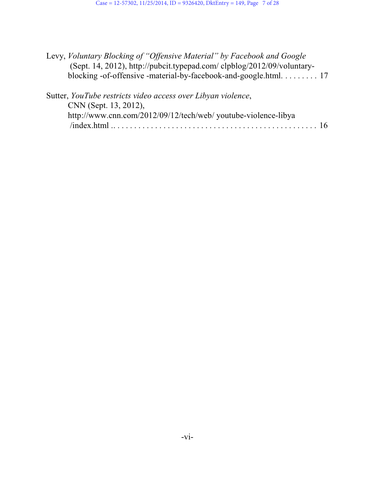| Levy, Voluntary Blocking of "Offensive Material" by Facebook and Google |  |
|-------------------------------------------------------------------------|--|
| (Sept. 14, 2012), http://pubcit.typepad.com/clpblog/2012/09/voluntary-  |  |
|                                                                         |  |

| Sutter, YouTube restricts video access over Libyan violence,   |
|----------------------------------------------------------------|
| CNN (Sept. 13, 2012),                                          |
| http://www.cnn.com/2012/09/12/tech/web/ youtube-violence-libya |
|                                                                |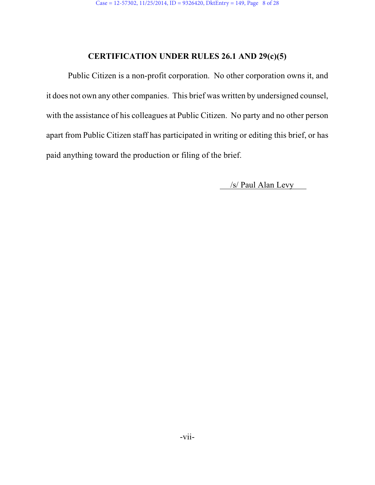### **CERTIFICATION UNDER RULES 26.1 AND 29(c)(5)**

Public Citizen is a non-profit corporation. No other corporation owns it, and it does not own any other companies. This brief was written by undersigned counsel, with the assistance of his colleagues at Public Citizen. No party and no other person apart from Public Citizen staff has participated in writing or editing this brief, or has paid anything toward the production or filing of the brief.

/s/ Paul Alan Levy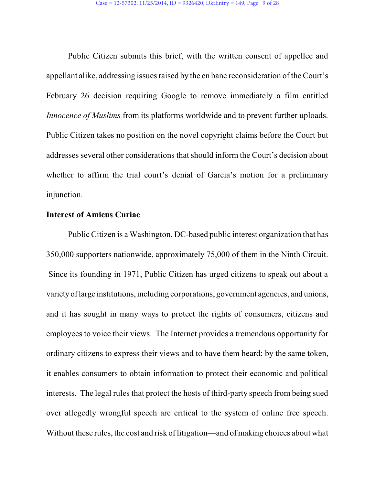Public Citizen submits this brief, with the written consent of appellee and appellant alike, addressing issues raised by the en banc reconsideration of the Court's February 26 decision requiring Google to remove immediately a film entitled *Innocence of Muslims* from its platforms worldwide and to prevent further uploads. Public Citizen takes no position on the novel copyright claims before the Court but addresses several other considerations that should inform the Court's decision about whether to affirm the trial court's denial of Garcia's motion for a preliminary injunction.

#### **Interest of Amicus Curiae**

Public Citizen is a Washington, DC-based public interest organization that has 350,000 supporters nationwide, approximately 75,000 of them in the Ninth Circuit. Since its founding in 1971, Public Citizen has urged citizens to speak out about a variety of large institutions, including corporations, government agencies, and unions, and it has sought in many ways to protect the rights of consumers, citizens and employees to voice their views. The Internet provides a tremendous opportunity for ordinary citizens to express their views and to have them heard; by the same token, it enables consumers to obtain information to protect their economic and political interests. The legal rules that protect the hosts of third-party speech from being sued over allegedly wrongful speech are critical to the system of online free speech. Without these rules, the cost and risk of litigation—and of making choices about what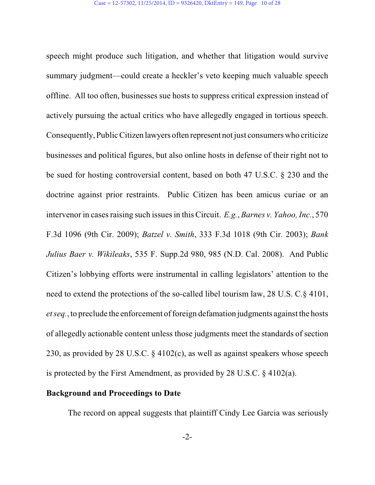speech might produce such litigation, and whether that litigation would survive summary judgment—could create a heckler's veto keeping much valuable speech offline. All too often, businesses sue hosts to suppress critical expression instead of actively pursuing the actual critics who have allegedly engaged in tortious speech. Consequently, PublicCitizen lawyers often represent not just consumers who criticize businesses and political figures, but also online hosts in defense of their right not to be sued for hosting controversial content, based on both 47 U.S.C. § 230 and the doctrine against prior restraints. Public Citizen has been amicus curiae or an intervenor in cases raising such issues in this Circuit. *E.g.*, *Barnes v. Yahoo, Inc.*, 570 F.3d 1096 (9th Cir. 2009); *Batzel v. Smith*, 333 F.3d 1018 (9th Cir. 2003); *Bank Julius Baer v. Wikileaks*, 535 F. Supp.2d 980, 985 (N.D. Cal. 2008). And Public Citizen's lobbying efforts were instrumental in calling legislators' attention to the need to extend the protections of the so-called libel tourism law, 28 U.S. C.§ 4101, *et seq.*, to preclude the enforcement of foreign defamation judgments against the hosts of allegedly actionable content unless those judgments meet the standards of section 230, as provided by 28 U.S.C. § 4102(c), as well as against speakers whose speech is protected by the First Amendment, as provided by 28 U.S.C. § 4102(a).

#### **Background and Proceedings to Date**

The record on appeal suggests that plaintiff Cindy Lee Garcia was seriously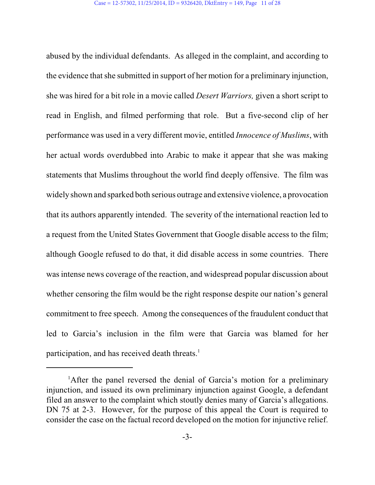abused by the individual defendants. As alleged in the complaint, and according to the evidence that she submitted in support of her motion for a preliminary injunction, she was hired for a bit role in a movie called *Desert Warriors,* given a short script to read in English, and filmed performing that role. But a five-second clip of her performance was used in a very different movie, entitled *Innocence of Muslims*, with her actual words overdubbed into Arabic to make it appear that she was making statements that Muslims throughout the world find deeply offensive. The film was widely shown and sparked both serious outrage and extensive violence, a provocation that its authors apparently intended. The severity of the international reaction led to a request from the United States Government that Google disable access to the film; although Google refused to do that, it did disable access in some countries. There was intense news coverage of the reaction, and widespread popular discussion about whether censoring the film would be the right response despite our nation's general commitment to free speech. Among the consequences of the fraudulent conduct that led to Garcia's inclusion in the film were that Garcia was blamed for her participation, and has received death threats.<sup>1</sup>

<sup>&</sup>lt;sup>1</sup>After the panel reversed the denial of Garcia's motion for a preliminary injunction, and issued its own preliminary injunction against Google, a defendant filed an answer to the complaint which stoutly denies many of Garcia's allegations. DN 75 at 2-3. However, for the purpose of this appeal the Court is required to consider the case on the factual record developed on the motion for injunctive relief.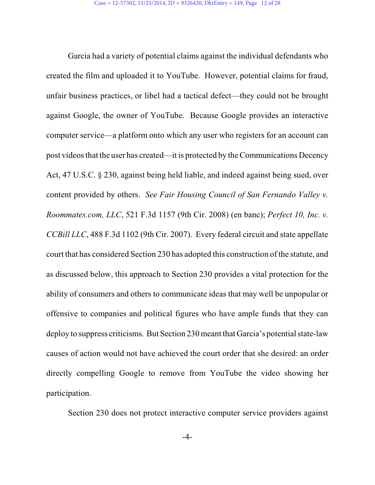Garcia had a variety of potential claims against the individual defendants who created the film and uploaded it to YouTube. However, potential claims for fraud, unfair business practices, or libel had a tactical defect—they could not be brought against Google, the owner of YouTube. Because Google provides an interactive computer service—a platform onto which any user who registers for an account can post videos that the user has created—it is protected by the Communications Decency Act, 47 U.S.C. § 230, against being held liable, and indeed against being sued, over content provided by others. *See Fair Housing Council of San Fernando Valley v. Roommates.com, LLC*, 521 F.3d 1157 (9th Cir. 2008) (en banc); *Perfect 10, Inc. v. CCBill LLC*, 488 F.3d 1102 (9th Cir. 2007). Every federal circuit and state appellate court that has considered Section 230 has adopted this construction of the statute, and as discussed below, this approach to Section 230 provides a vital protection for the ability of consumers and others to communicate ideas that may well be unpopular or offensive to companies and political figures who have ample funds that they can deploy to suppress criticisms. But Section 230 meant that Garcia's potential state-law causes of action would not have achieved the court order that she desired: an order directly compelling Google to remove from YouTube the video showing her participation.

Section 230 does not protect interactive computer service providers against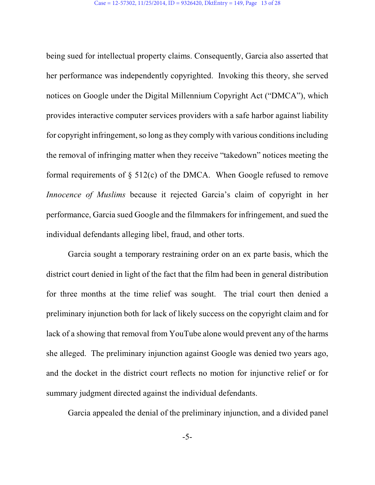being sued for intellectual property claims. Consequently, Garcia also asserted that her performance was independently copyrighted. Invoking this theory, she served notices on Google under the Digital Millennium Copyright Act ("DMCA"), which provides interactive computer services providers with a safe harbor against liability for copyright infringement, so long asthey comply with various conditionsincluding the removal of infringing matter when they receive "takedown" notices meeting the formal requirements of  $\S$  512(c) of the DMCA. When Google refused to remove *Innocence of Muslims* because it rejected Garcia's claim of copyright in her performance, Garcia sued Google and the filmmakers for infringement, and sued the individual defendants alleging libel, fraud, and other torts.

Garcia sought a temporary restraining order on an ex parte basis, which the district court denied in light of the fact that the film had been in general distribution for three months at the time relief was sought. The trial court then denied a preliminary injunction both for lack of likely success on the copyright claim and for lack of a showing that removal from YouTube alone would prevent any of the harms she alleged. The preliminary injunction against Google was denied two years ago, and the docket in the district court reflects no motion for injunctive relief or for summary judgment directed against the individual defendants.

Garcia appealed the denial of the preliminary injunction, and a divided panel

-5-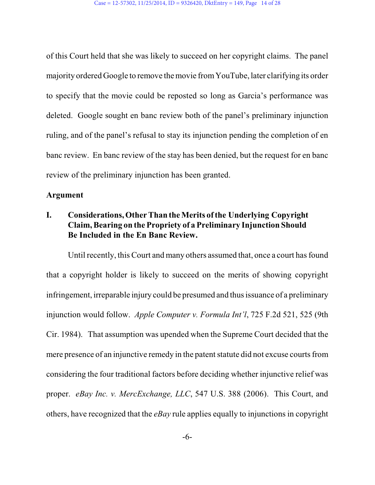of this Court held that she was likely to succeed on her copyright claims. The panel majority ordered Google to remove the movie fromYouTube, later clarifying its order to specify that the movie could be reposted so long as Garcia's performance was deleted. Google sought en banc review both of the panel's preliminary injunction ruling, and of the panel's refusal to stay its injunction pending the completion of en banc review. En banc review of the stay has been denied, but the request for en banc review of the preliminary injunction has been granted.

#### **Argument**

## **I. Considerations, Other Than the Merits ofthe Underlying Copyright Claim, Bearing on the Propriety of a Preliminary Injunction Should Be Included in the En Banc Review.**

Until recently, this Court and many others assumed that, once a court has found that a copyright holder is likely to succeed on the merits of showing copyright infringement, irreparable injury could be presumed and thus issuance of a preliminary injunction would follow. *Apple Computer v. Formula Int'l*, 725 F.2d 521, 525 (9th Cir. 1984). That assumption was upended when the Supreme Court decided that the mere presence of an injunctive remedy in the patent statute did not excuse courts from considering the four traditional factors before deciding whether injunctive relief was proper. *eBay Inc. v. MercExchange, LLC*, 547 U.S. 388 (2006). This Court, and others, have recognized that the *eBay* rule applies equally to injunctions in copyright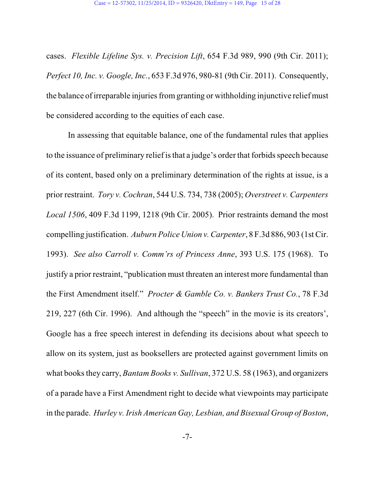cases. *Flexible Lifeline Sys. v. Precision Lift*, 654 F.3d 989, 990 (9th Cir. 2011); *Perfect 10, Inc. v. Google, Inc.*, 653 F.3d 976, 980-81 (9th Cir. 2011). Consequently, the balance of irreparable injuries from granting or withholding injunctive relief must be considered according to the equities of each case.

In assessing that equitable balance, one of the fundamental rules that applies to the issuance of preliminary relief isthat a judge's order that forbids speech because of its content, based only on a preliminary determination of the rights at issue, is a prior restraint. *Tory v. Cochran*, 544 U.S. 734, 738 (2005); *Overstreet v. Carpenters Local 1506*, 409 F.3d 1199, 1218 (9th Cir. 2005). Prior restraints demand the most compelling justification. *Auburn Police Union v. Carpenter*, 8 F.3d 886, 903 (1stCir. 1993). *See also Carroll v. Comm'rs of Princess Anne*, 393 U.S. 175 (1968). To justify a prior restraint, "publication must threaten an interest more fundamental than the First Amendment itself." *Procter & Gamble Co. v. Bankers Trust Co.*, 78 F.3d 219, 227 (6th Cir. 1996). And although the "speech" in the movie is its creators', Google has a free speech interest in defending its decisions about what speech to allow on its system, just as booksellers are protected against government limits on what books they carry, *Bantam Books v. Sullivan*, 372 U.S. 58 (1963), and organizers of a parade have a First Amendment right to decide what viewpoints may participate in the parade. *Hurley v. Irish American Gay, Lesbian, and Bisexual Group of Boston*,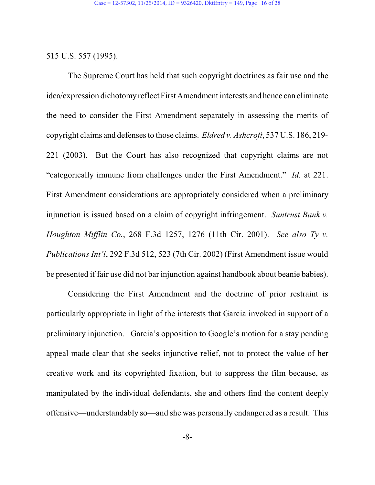#### 515 U.S. 557 (1995).

The Supreme Court has held that such copyright doctrines as fair use and the idea/expression dichotomy reflect First Amendment interests and hence can eliminate the need to consider the First Amendment separately in assessing the merits of copyright claims and defenses to those claims. *Eldred v. Ashcroft*, 537 U.S. 186, 219- 221 (2003). But the Court has also recognized that copyright claims are not "categorically immune from challenges under the First Amendment." *Id.* at 221. First Amendment considerations are appropriately considered when a preliminary injunction is issued based on a claim of copyright infringement. *Suntrust Bank v. Houghton Mifflin Co.*, 268 F.3d 1257, 1276 (11th Cir. 2001). *See also Ty v. Publications Int'l*, 292 F.3d 512, 523 (7th Cir. 2002) (First Amendment issue would be presented if fair use did not bar injunction against handbook about beanie babies).

Considering the First Amendment and the doctrine of prior restraint is particularly appropriate in light of the interests that Garcia invoked in support of a preliminary injunction. Garcia's opposition to Google's motion for a stay pending appeal made clear that she seeks injunctive relief, not to protect the value of her creative work and its copyrighted fixation, but to suppress the film because, as manipulated by the individual defendants, she and others find the content deeply offensive—understandably so—and she was personally endangered as a result. This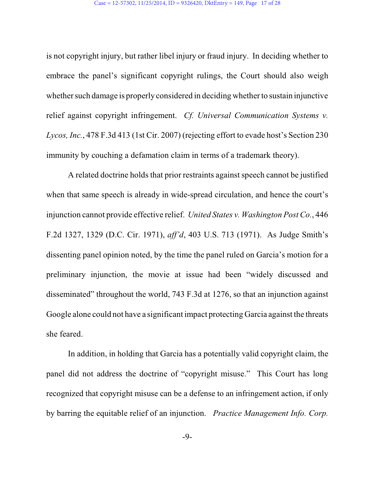is not copyright injury, but rather libel injury or fraud injury. In deciding whether to embrace the panel's significant copyright rulings, the Court should also weigh whether such damage is properly considered in deciding whether to sustain injunctive relief against copyright infringement. *Cf. Universal Communication Systems v. Lycos, Inc.*, 478 F.3d 413 (1st Cir. 2007) (rejecting effort to evade host's Section 230 immunity by couching a defamation claim in terms of a trademark theory).

A related doctrine holds that prior restraints against speech cannot be justified when that same speech is already in wide-spread circulation, and hence the court's injunction cannot provide effective relief. *United States v. Washington Post Co.*, 446 F.2d 1327, 1329 (D.C. Cir. 1971), *aff'd*, 403 U.S. 713 (1971). As Judge Smith's dissenting panel opinion noted, by the time the panel ruled on Garcia's motion for a preliminary injunction, the movie at issue had been "widely discussed and disseminated" throughout the world, 743 F.3d at 1276, so that an injunction against Google alone could not have a significant impact protecting Garcia against the threats she feared.

In addition, in holding that Garcia has a potentially valid copyright claim, the panel did not address the doctrine of "copyright misuse." This Court has long recognized that copyright misuse can be a defense to an infringement action, if only by barring the equitable relief of an injunction. *Practice Management Info. Corp.*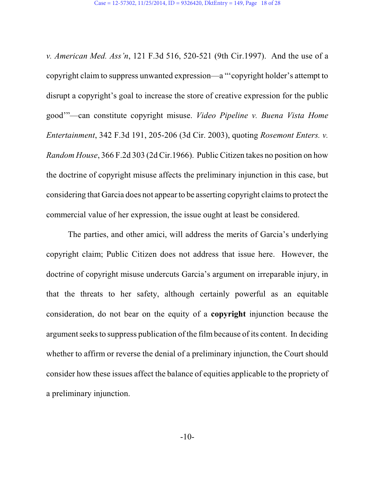*v. American Med. Ass'n*, 121 F.3d 516, 520-521 (9th Cir.1997). And the use of a copyright claim to suppress unwanted expression—a "'copyright holder's attempt to disrupt a copyright's goal to increase the store of creative expression for the public good'"—can constitute copyright misuse. *Video Pipeline v. Buena Vista Home Entertainment*, 342 F.3d 191, 205-206 (3d Cir. 2003), quoting *Rosemont Enters. v. Random House*, 366 F.2d 303 (2d Cir.1966). Public Citizen takes no position on how the doctrine of copyright misuse affects the preliminary injunction in this case, but considering that Garcia does not appear to be asserting copyright claims to protect the commercial value of her expression, the issue ought at least be considered.

The parties, and other amici, will address the merits of Garcia's underlying copyright claim; Public Citizen does not address that issue here. However, the doctrine of copyright misuse undercuts Garcia's argument on irreparable injury, in that the threats to her safety, although certainly powerful as an equitable consideration, do not bear on the equity of a **copyright** injunction because the argument seeks to suppress publication of the film because of its content. In deciding whether to affirm or reverse the denial of a preliminary injunction, the Court should consider how these issues affect the balance of equities applicable to the propriety of a preliminary injunction.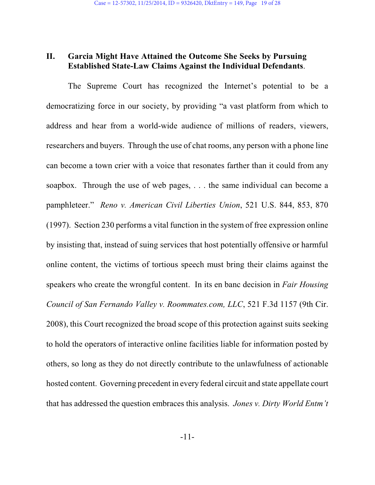#### **II. Garcia Might Have Attained the Outcome She Seeks by Pursuing Established State-Law Claims Against the Individual Defendants**.

The Supreme Court has recognized the Internet's potential to be a democratizing force in our society, by providing "a vast platform from which to address and hear from a world-wide audience of millions of readers, viewers, researchers and buyers. Through the use of chat rooms, any person with a phone line can become a town crier with a voice that resonates farther than it could from any soapbox. Through the use of web pages, . . . the same individual can become a pamphleteer." *Reno v. American Civil Liberties Union*, 521 U.S. 844, 853, 870 (1997). Section 230 performs a vital function in the system of free expression online by insisting that, instead of suing services that host potentially offensive or harmful online content, the victims of tortious speech must bring their claims against the speakers who create the wrongful content. In its en banc decision in *Fair Housing Council of San Fernando Valley v. Roommates.com, LLC*, 521 F.3d 1157 (9th Cir. 2008), this Court recognized the broad scope of this protection against suits seeking to hold the operators of interactive online facilities liable for information posted by others, so long as they do not directly contribute to the unlawfulness of actionable hosted content. Governing precedent in every federal circuit and state appellate court that has addressed the question embraces this analysis. *Jones v. Dirty World Entm't*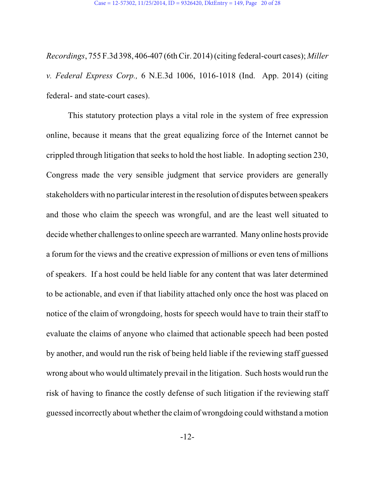*Recordings*, 755 F.3d 398, 406-407 (6thCir. 2014) (citing federal-court cases); *Miller v. Federal Express Corp.,* 6 N.E.3d 1006, 1016-1018 (Ind. App. 2014) (citing federal- and state-court cases).

This statutory protection plays a vital role in the system of free expression online, because it means that the great equalizing force of the Internet cannot be crippled through litigation that seeks to hold the host liable. In adopting section 230, Congress made the very sensible judgment that service providers are generally stakeholders with no particular interest in the resolution of disputes between speakers and those who claim the speech was wrongful, and are the least well situated to decide whether challenges to online speech are warranted. Many online hosts provide a forum for the views and the creative expression of millions or even tens of millions of speakers. If a host could be held liable for any content that was later determined to be actionable, and even if that liability attached only once the host was placed on notice of the claim of wrongdoing, hosts for speech would have to train their staff to evaluate the claims of anyone who claimed that actionable speech had been posted by another, and would run the risk of being held liable if the reviewing staff guessed wrong about who would ultimately prevail in the litigation. Such hosts would run the risk of having to finance the costly defense of such litigation if the reviewing staff guessed incorrectly about whether the claimof wrongdoing could withstand a motion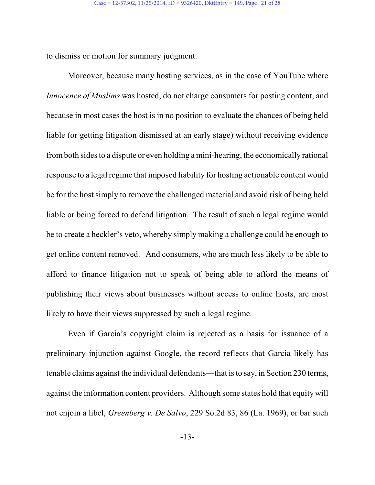to dismiss or motion for summary judgment.

Moreover, because many hosting services, as in the case of YouTube where *Innocence of Muslims* was hosted, do not charge consumers for posting content, and because in most cases the host is in no position to evaluate the chances of being held liable (or getting litigation dismissed at an early stage) without receiving evidence fromboth sides to a dispute or even holding a mini-hearing, the economically rational response to a legal regime that imposed liability for hosting actionable content would be for the host simply to remove the challenged material and avoid risk of being held liable or being forced to defend litigation. The result of such a legal regime would be to create a heckler's veto, whereby simply making a challenge could be enough to get online content removed. And consumers, who are much less likely to be able to afford to finance litigation not to speak of being able to afford the means of publishing their views about businesses without access to online hosts, are most likely to have their views suppressed by such a legal regime.

Even if Garcia's copyright claim is rejected as a basis for issuance of a preliminary injunction against Google, the record reflects that Garcia likely has tenable claims against the individual defendants—that isto say, in Section 230 terms, against the information content providers. Although some states hold that equity will not enjoin a libel, *Greenberg v. De Salvo*, 229 So.2d 83, 86 (La. 1969), or bar such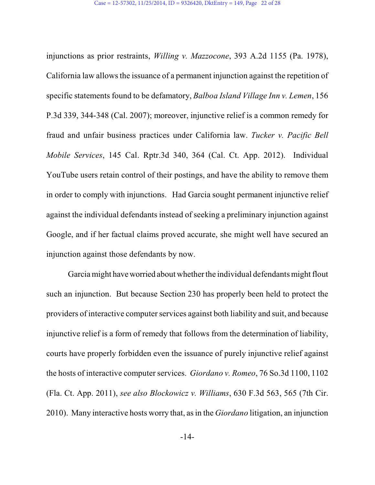injunctions as prior restraints, *Willing v. Mazzocone*, 393 A.2d 1155 (Pa. 1978), California law allows the issuance of a permanent injunction against the repetition of specific statements found to be defamatory, *Balboa Island Village Inn v. Lemen*, 156 P.3d 339, 344-348 (Cal. 2007); moreover, injunctive relief is a common remedy for fraud and unfair business practices under California law. *Tucker v. Pacific Bell Mobile Services*, 145 Cal. Rptr.3d 340, 364 (Cal. Ct. App. 2012). Individual YouTube users retain control of their postings, and have the ability to remove them in order to comply with injunctions. Had Garcia sought permanent injunctive relief against the individual defendants instead of seeking a preliminary injunction against Google, and if her factual claims proved accurate, she might well have secured an injunction against those defendants by now.

Garcia might have worried about whether the individual defendants might flout such an injunction. But because Section 230 has properly been held to protect the providers of interactive computer services against both liability and suit, and because injunctive relief is a form of remedy that follows from the determination of liability, courts have properly forbidden even the issuance of purely injunctive relief against the hosts of interactive computer services. *Giordano v. Romeo*, 76 So.3d 1100, 1102 (Fla. Ct. App. 2011), *see also Blockowicz v. Williams*, 630 F.3d 563, 565 (7th Cir. 2010). Many interactive hosts worry that, asin the *Giordano* litigation, an injunction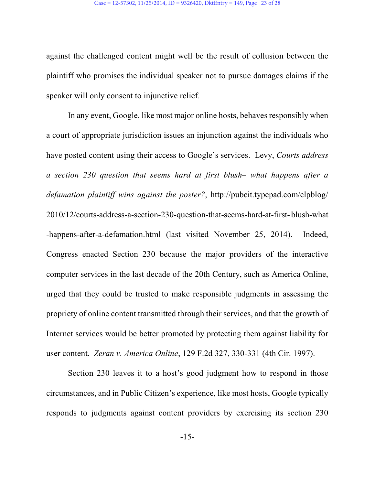against the challenged content might well be the result of collusion between the plaintiff who promises the individual speaker not to pursue damages claims if the speaker will only consent to injunctive relief.

In any event, Google, like most major online hosts, behaves responsibly when a court of appropriate jurisdiction issues an injunction against the individuals who have posted content using their access to Google's services. Levy, *Courts address a section 230 question that seems hard at first blush– what happens after a defamation plaintiff wins against the poster?*, http://pubcit.typepad.com/clpblog/ 2010/12/courts-address-a-section-230-question-that-seems-hard-at-first- blush-what -happens-after-a-defamation.html (last visited November 25, 2014). Indeed, Congress enacted Section 230 because the major providers of the interactive computer services in the last decade of the 20th Century, such as America Online, urged that they could be trusted to make responsible judgments in assessing the propriety of online content transmitted through their services, and that the growth of Internet services would be better promoted by protecting them against liability for user content. *Zeran v. America Online*, 129 F.2d 327, 330-331 (4th Cir. 1997).

Section 230 leaves it to a host's good judgment how to respond in those circumstances, and in Public Citizen's experience, like most hosts, Google typically responds to judgments against content providers by exercising its section 230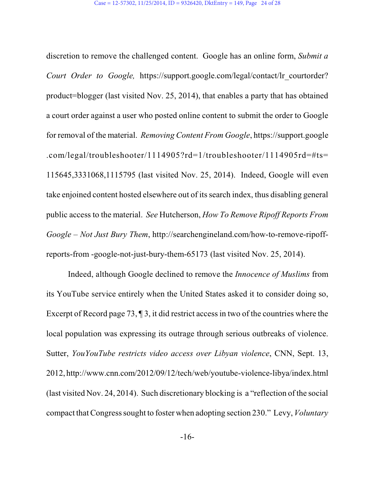discretion to remove the challenged content. Google has an online form, *Submit a Court Order to Google,* https://support.google.com/legal/contact/lr\_courtorder? product=blogger (last visited Nov. 25, 2014), that enables a party that has obtained a court order against a user who posted online content to submit the order to Google for removal of the material. *Removing Content From Google*, https://support.google .com/legal/troubleshooter/1114905?rd=1/troubleshooter/1114905rd=#ts= 115645,3331068,1115795 (last visited Nov. 25, 2014). Indeed, Google will even take enjoined content hosted elsewhere out of its search index, thus disabling general public access to the material. *See* Hutcherson, *How To Remove Ripoff Reports From Google – Not Just Bury Them*, http://searchengineland.com/how-to-remove-ripoffreports-from -google-not-just-bury-them-65173 (last visited Nov. 25, 2014).

Indeed, although Google declined to remove the *Innocence of Muslims* from its YouTube service entirely when the United States asked it to consider doing so, Excerpt of Record page 73,  $\P$ 3, it did restrict access in two of the countries where the local population was expressing its outrage through serious outbreaks of violence. Sutter, *YouYouTube restricts video access over Libyan violence*, CNN, Sept. 13, 2012, http://www.cnn.com/2012/09/12/tech/web/youtube-violence-libya/index.html (last visited Nov. 24, 2014). Such discretionary blocking is a "reflection of the social compact thatCongress sought to foster when adopting section 230." Levy, *Voluntary*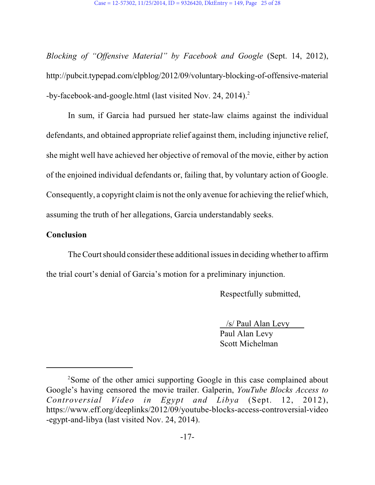*Blocking of "Offensive Material" by Facebook and Google* (Sept. 14, 2012), http://pubcit.typepad.com/clpblog/2012/09/voluntary-blocking-of-offensive-material -by-facebook-and-google.html (last visited Nov. 24, 2014).<sup>2</sup>

In sum, if Garcia had pursued her state-law claims against the individual defendants, and obtained appropriate relief against them, including injunctive relief, she might well have achieved her objective of removal of the movie, either by action of the enjoined individual defendants or, failing that, by voluntary action of Google. Consequently, a copyright claimis not the only avenue for achieving the relief which, assuming the truth of her allegations, Garcia understandably seeks.

#### **Conclusion**

The Court should consider these additional issues in deciding whether to affirm the trial court's denial of Garcia's motion for a preliminary injunction.

Respectfully submitted,

 /s/ Paul Alan Levy Paul Alan Levy Scott Michelman

<sup>&</sup>lt;sup>2</sup>Some of the other amici supporting Google in this case complained about Google's having censored the movie trailer. Galperin, *YouTube Blocks Access to Controversial Video in Egypt and Libya* (Sept. 12, 2012), https://www.eff.org/deeplinks/2012/09/youtube-blocks-access-controversial-video -egypt-and-libya (last visited Nov. 24, 2014).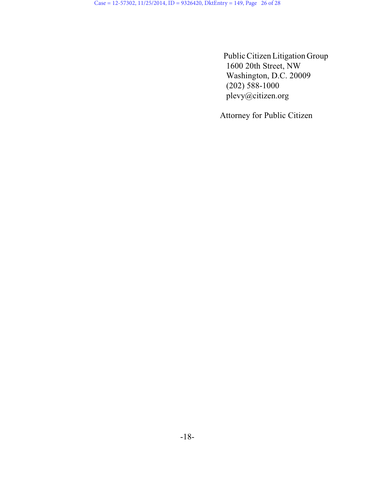PublicCitizen Litigation Group 1600 20th Street, NW Washington, D.C. 20009 (202) 588-1000 plevy@citizen.org

Attorney for Public Citizen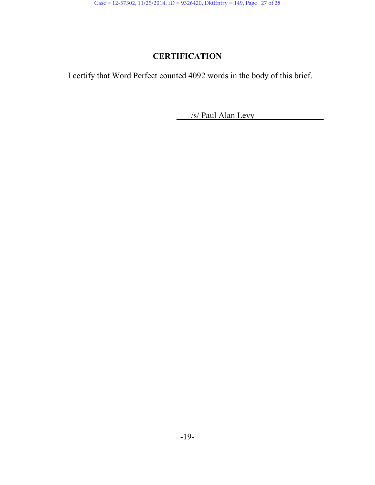# **CERTIFICATION**

I certify that Word Perfect counted 4092 words in the body of this brief.

/s/ Paul Alan Levy